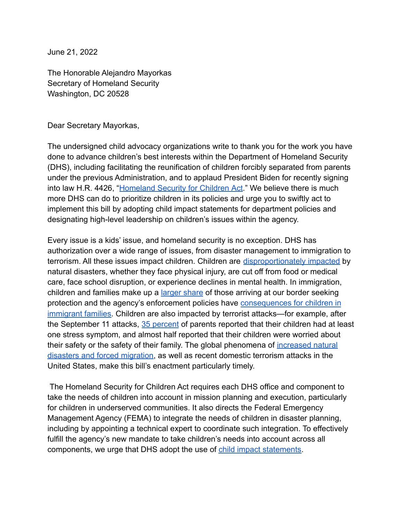June 21, 2022

The Honorable Alejandro Mayorkas Secretary of Homeland Security Washington, DC 20528

Dear Secretary Mayorkas,

The undersigned child advocacy organizations write to thank you for the work you have done to advance children's best interests within the Department of Homeland Security (DHS), including facilitating the reunification of children forcibly separated from parents under the previous Administration, and to applaud President Biden for recently signing into law H.R. 4426, "[Homeland Security for Children](https://www.congress.gov/bill/117th-congress/house-bill/4426/text) Act." We believe there is much more DHS can do to prioritize children in its policies and urge you to swiftly act to implement this bill by adopting child impact statements for department policies and designating high-level leadership on children's issues within the agency.

Every issue is a kids' issue, and homeland security is no exception. DHS has authorization over a wide range of issues, from disaster management to immigration to terrorism. All these issues impact children. Children are [disproportionately impacted](https://www.srcd.org/sites/default/files/resources/FINAL_SRCDCEB-NaturalDisasters_0.pdf) by natural disasters, whether they face physical injury, are cut off from food or medical care, face school disruption, or experience declines in mental health. In immigration, children and families make up a [larger share](https://ccis.ucsd.edu/_files/Publications/QuickReleaseReport.pdf) of those arriving at our border seeking protection and the agency's enforcement policies have [consequences for children in](https://www.americanimmigrationcouncil.org/sites/default/files/research/us_citizen_children_impacted_by_immigration_enforcement_0.pdf) [immigrant families.](https://www.americanimmigrationcouncil.org/sites/default/files/research/us_citizen_children_impacted_by_immigration_enforcement_0.pdf) Children are also impacted by terrorist attacks—for example, after the September 11 attacks, [35 percent](https://www.ptsd.va.gov/understand/types/terrorist_attacks_child.asp) of parents reported that their children had at least one stress symptom, and almost half reported that their children were worried about their safety or the safety of their family. The global phenomena of [increased natural](https://firstfocus.org/blog/climate-displacement-is-a-kids-issue) [disasters and forced migration,](https://firstfocus.org/blog/climate-displacement-is-a-kids-issue) as well as recent domestic terrorism attacks in the United States, make this bill's enactment particularly timely.

The Homeland Security for Children Act requires each DHS office and component to take the needs of children into account in mission planning and execution, particularly for children in underserved communities. It also directs the Federal Emergency Management Agency (FEMA) to integrate the needs of children in disaster planning, including by appointing a technical expert to coordinate such integration. To effectively fulfill the agency's new mandate to take children's needs into account across all components, we urge that DHS adopt the use of child [impact statements.](https://firstfocus.org/resources/fact-sheet/fact-sheet-child-impact-statements)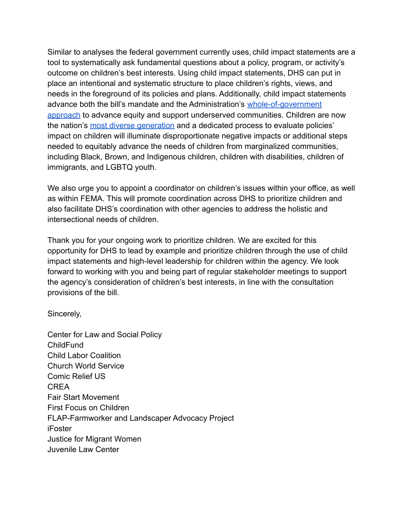Similar to analyses the federal government currently uses, child impact statements are a tool to systematically ask fundamental questions about a policy, program, or activity's outcome on children's best interests. Using child impact statements, DHS can put in place an intentional and systematic structure to place children's rights, views, and needs in the foreground of its policies and plans. Additionally, child impact statements advance both the bill's mandate and the Administration's [whole-of-government](https://www.whitehouse.gov/briefing-room/presidential-actions/2021/01/20/executive-order-advancing-racial-equity-and-support-for-underserved-communities-through-the-federal-government/) [approach](https://www.whitehouse.gov/briefing-room/presidential-actions/2021/01/20/executive-order-advancing-racial-equity-and-support-for-underserved-communities-through-the-federal-government/) to advance equity and support underserved communities. Children are now the nation's [most diverse generation](https://www.pewresearch.org/social-trends/2018/11/15/early-benchmarks-show-post-millennials-on-track-to-be-most-diversebest-educated-generation-yet/) and a dedicated process to evaluate policies' impact on children will illuminate disproportionate negative impacts or additional steps needed to equitably advance the needs of children from marginalized communities, including Black, Brown, and Indigenous children, children with disabilities, children of immigrants, and LGBTQ youth.

We also urge you to appoint a coordinator on children's issues within your office, as well as within FEMA. This will promote coordination across DHS to prioritize children and also facilitate DHS's coordination with other agencies to address the holistic and intersectional needs of children.

Thank you for your ongoing work to prioritize children. We are excited for this opportunity for DHS to lead by example and prioritize children through the use of child impact statements and high-level leadership for children within the agency. We look forward to working with you and being part of regular stakeholder meetings to support the agency's consideration of children's best interests, in line with the consultation provisions of the bill.

Sincerely,

Center for Law and Social Policy ChildFund Child Labor Coalition Church World Service Comic Relief US CREA Fair Start Movement First Focus on Children FLAP-Farmworker and Landscaper Advocacy Project iFoster Justice for Migrant Women Juvenile Law Center